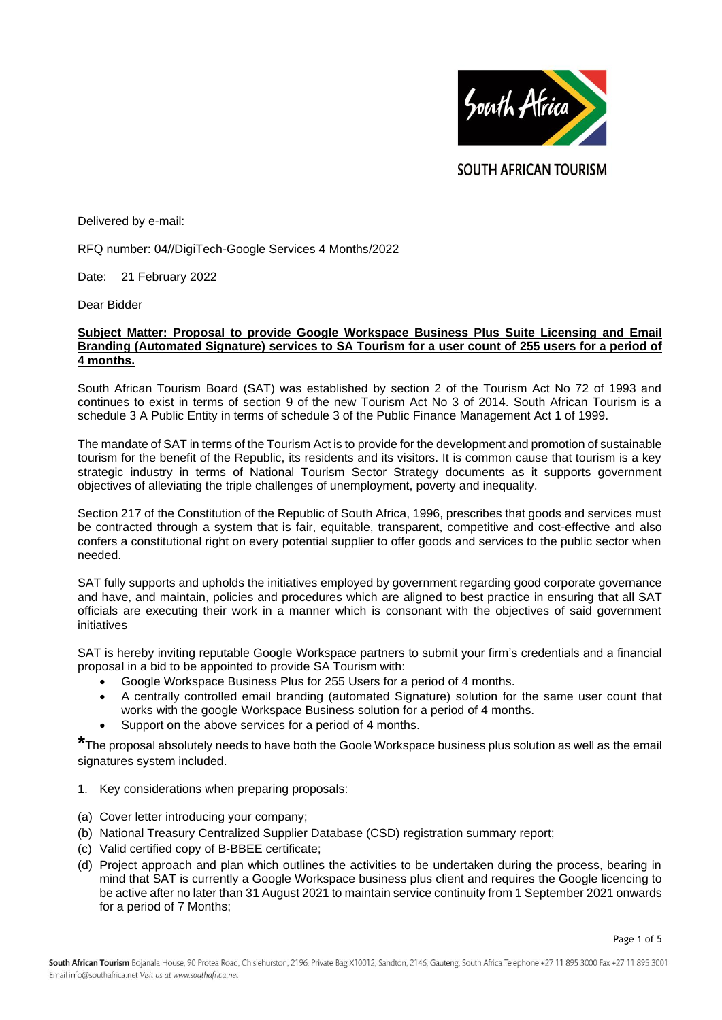

**SOUTH AFRICAN TOURISM** 

Delivered by e-mail:

RFQ number: 04//DigiTech-Google Services 4 Months/2022

Date: 21 February 2022

Dear Bidder

## **Subject Matter: Proposal to provide Google Workspace Business Plus Suite Licensing and Email Branding (Automated Signature) services to SA Tourism for a user count of 255 users for a period of 4 months.**

South African Tourism Board (SAT) was established by section 2 of the Tourism Act No 72 of 1993 and continues to exist in terms of section 9 of the new Tourism Act No 3 of 2014. South African Tourism is a schedule 3 A Public Entity in terms of schedule 3 of the Public Finance Management Act 1 of 1999.

The mandate of SAT in terms of the Tourism Act is to provide for the development and promotion of sustainable tourism for the benefit of the Republic, its residents and its visitors. It is common cause that tourism is a key strategic industry in terms of National Tourism Sector Strategy documents as it supports government objectives of alleviating the triple challenges of unemployment, poverty and inequality.

Section 217 of the Constitution of the Republic of South Africa, 1996, prescribes that goods and services must be contracted through a system that is fair, equitable, transparent, competitive and cost-effective and also confers a constitutional right on every potential supplier to offer goods and services to the public sector when needed.

SAT fully supports and upholds the initiatives employed by government regarding good corporate governance and have, and maintain, policies and procedures which are aligned to best practice in ensuring that all SAT officials are executing their work in a manner which is consonant with the objectives of said government initiatives

SAT is hereby inviting reputable Google Workspace partners to submit your firm's credentials and a financial proposal in a bid to be appointed to provide SA Tourism with:

- Google Workspace Business Plus for 255 Users for a period of 4 months.
- A centrally controlled email branding (automated Signature) solution for the same user count that works with the google Workspace Business solution for a period of 4 months.
- Support on the above services for a period of 4 months.

**\***The proposal absolutely needs to have both the Goole Workspace business plus solution as well as the email signatures system included.

- 1. Key considerations when preparing proposals:
- (a) Cover letter introducing your company;
- (b) National Treasury Centralized Supplier Database (CSD) registration summary report;
- (c) Valid certified copy of B-BBEE certificate;
- (d) Project approach and plan which outlines the activities to be undertaken during the process, bearing in mind that SAT is currently a Google Workspace business plus client and requires the Google licencing to be active after no later than 31 August 2021 to maintain service continuity from 1 September 2021 onwards for a period of 7 Months;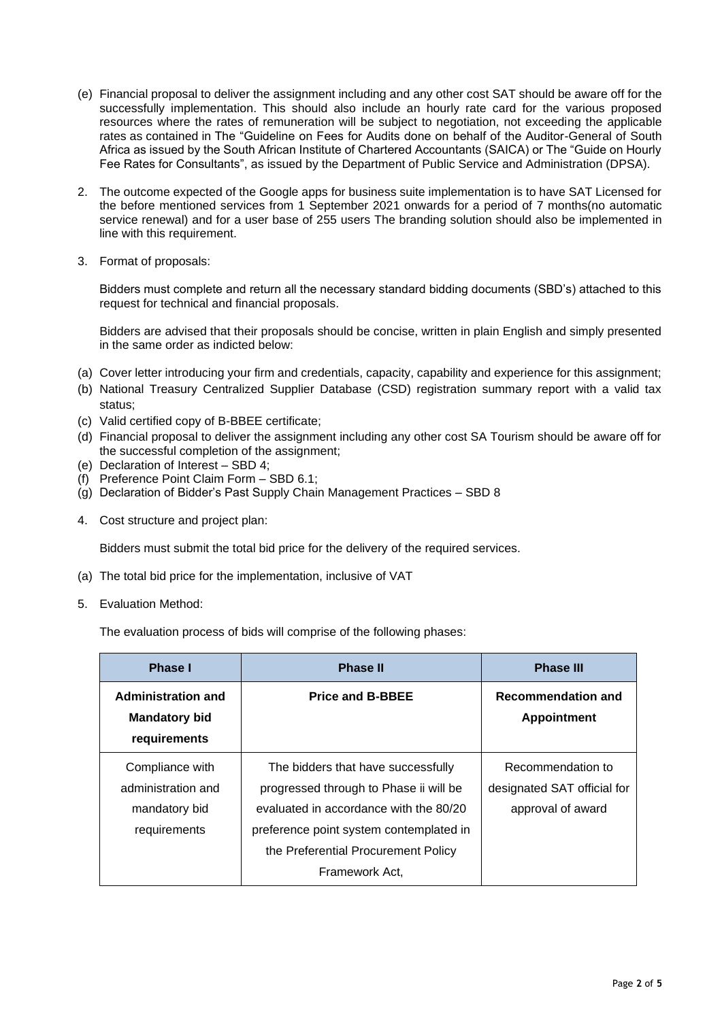- (e) Financial proposal to deliver the assignment including and any other cost SAT should be aware off for the successfully implementation. This should also include an hourly rate card for the various proposed resources where the rates of remuneration will be subject to negotiation, not exceeding the applicable rates as contained in The "Guideline on Fees for Audits done on behalf of the Auditor-General of South Africa as issued by the South African Institute of Chartered Accountants (SAICA) or The "Guide on Hourly Fee Rates for Consultants", as issued by the Department of Public Service and Administration (DPSA).
- 2. The outcome expected of the Google apps for business suite implementation is to have SAT Licensed for the before mentioned services from 1 September 2021 onwards for a period of 7 months(no automatic service renewal) and for a user base of 255 users The branding solution should also be implemented in line with this requirement.
- 3. Format of proposals:

Bidders must complete and return all the necessary standard bidding documents (SBD's) attached to this request for technical and financial proposals.

Bidders are advised that their proposals should be concise, written in plain English and simply presented in the same order as indicted below:

- (a) Cover letter introducing your firm and credentials, capacity, capability and experience for this assignment;
- (b) National Treasury Centralized Supplier Database (CSD) registration summary report with a valid tax status;
- (c) Valid certified copy of B-BBEE certificate;
- (d) Financial proposal to deliver the assignment including any other cost SA Tourism should be aware off for the successful completion of the assignment;
- (e) Declaration of Interest SBD 4;
- (f) Preference Point Claim Form SBD 6.1;
- (g) Declaration of Bidder's Past Supply Chain Management Practices SBD 8
- 4. Cost structure and project plan:

Bidders must submit the total bid price for the delivery of the required services.

- (a) The total bid price for the implementation, inclusive of VAT
- 5. Evaluation Method:

The evaluation process of bids will comprise of the following phases:

| Phase I                                                                | <b>Phase II</b>                                                                                                                                                                                                            | <b>Phase III</b>                                                      |
|------------------------------------------------------------------------|----------------------------------------------------------------------------------------------------------------------------------------------------------------------------------------------------------------------------|-----------------------------------------------------------------------|
| <b>Administration and</b><br><b>Mandatory bid</b><br>requirements      | <b>Price and B-BBEE</b>                                                                                                                                                                                                    | <b>Recommendation and</b><br><b>Appointment</b>                       |
| Compliance with<br>administration and<br>mandatory bid<br>requirements | The bidders that have successfully<br>progressed through to Phase ii will be<br>evaluated in accordance with the 80/20<br>preference point system contemplated in<br>the Preferential Procurement Policy<br>Framework Act, | Recommendation to<br>designated SAT official for<br>approval of award |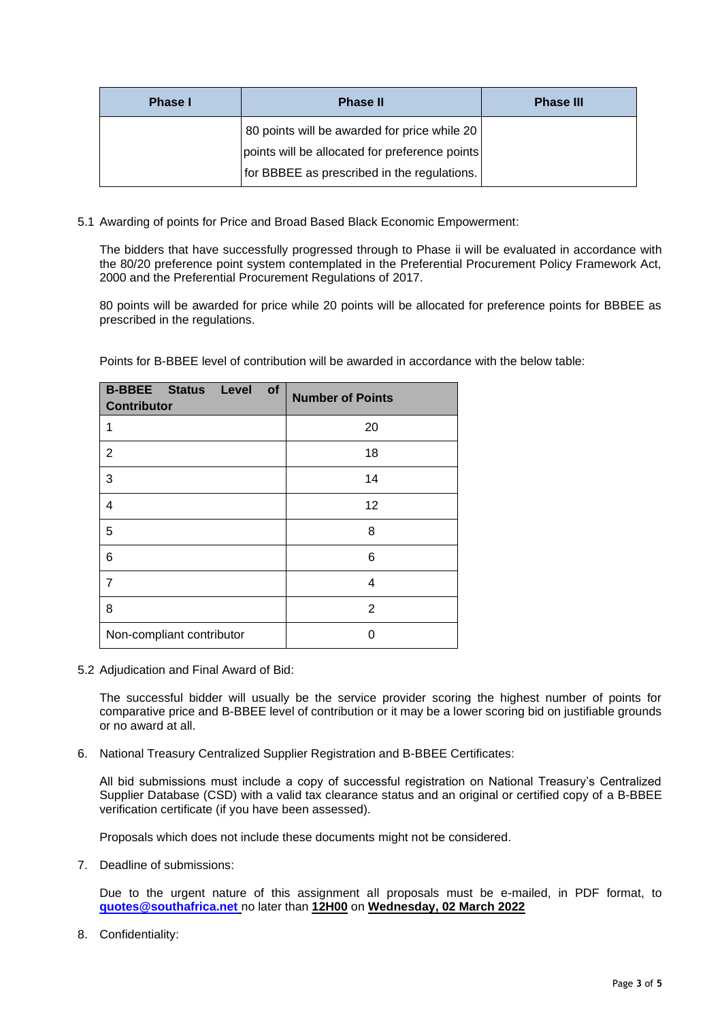| <b>Phase I</b> | <b>Phase II</b>                                                                               | <b>Phase III</b> |
|----------------|-----------------------------------------------------------------------------------------------|------------------|
|                | 80 points will be awarded for price while 20                                                  |                  |
|                | points will be allocated for preference points<br>for BBBEE as prescribed in the regulations. |                  |
|                |                                                                                               |                  |

5.1 Awarding of points for Price and Broad Based Black Economic Empowerment:

The bidders that have successfully progressed through to Phase ii will be evaluated in accordance with the 80/20 preference point system contemplated in the Preferential Procurement Policy Framework Act, 2000 and the Preferential Procurement Regulations of 2017.

80 points will be awarded for price while 20 points will be allocated for preference points for BBBEE as prescribed in the regulations.

|  | Points for B-BBEE level of contribution will be awarded in accordance with the below table: |
|--|---------------------------------------------------------------------------------------------|
|--|---------------------------------------------------------------------------------------------|

| <b>B-BBEE Status Level</b><br>of<br><b>Contributor</b> | <b>Number of Points</b> |
|--------------------------------------------------------|-------------------------|
| 1                                                      | 20                      |
| 2                                                      | 18                      |
| 3                                                      | 14                      |
| 4                                                      | 12                      |
| 5                                                      | 8                       |
| 6                                                      | 6                       |
| 7                                                      | 4                       |
| 8                                                      | 2                       |
| Non-compliant contributor                              | O                       |

5.2 Adjudication and Final Award of Bid:

The successful bidder will usually be the service provider scoring the highest number of points for comparative price and B-BBEE level of contribution or it may be a lower scoring bid on justifiable grounds or no award at all.

6. National Treasury Centralized Supplier Registration and B-BBEE Certificates:

All bid submissions must include a copy of successful registration on National Treasury's Centralized Supplier Database (CSD) with a valid tax clearance status and an original or certified copy of a B-BBEE verification certificate (if you have been assessed).

Proposals which does not include these documents might not be considered.

7. Deadline of submissions:

Due to the urgent nature of this assignment all proposals must be e-mailed, in PDF format, to **[quotes@southafrica.net](mailto:quotes@southafrica.net)** no later than **12H00** on **Wednesday, 02 March 2022**

8. Confidentiality: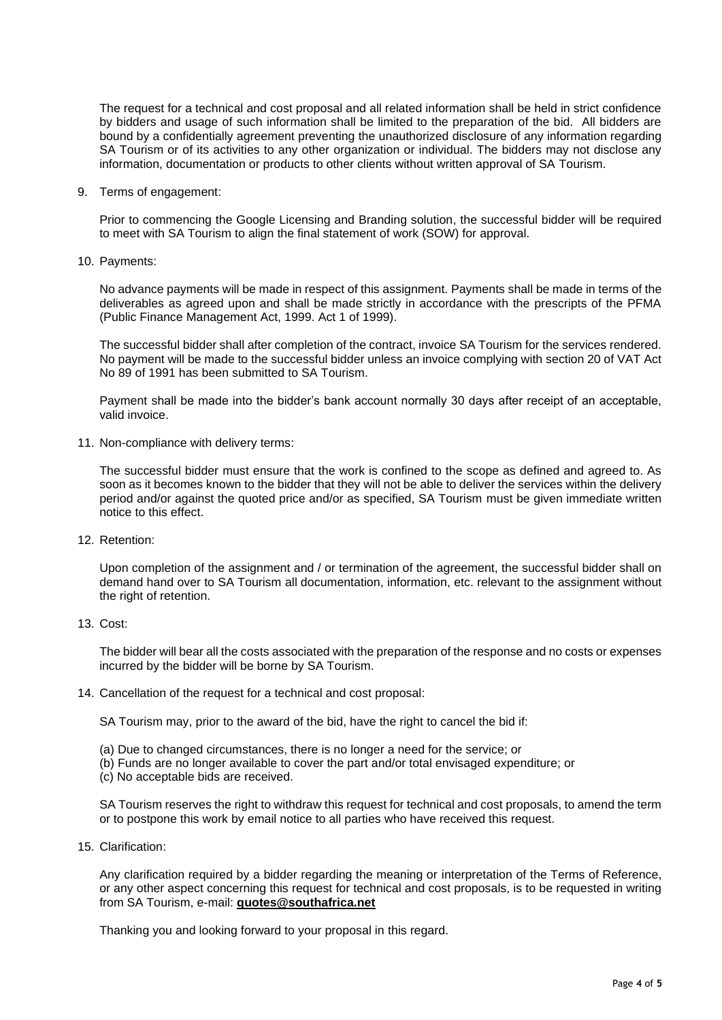The request for a technical and cost proposal and all related information shall be held in strict confidence by bidders and usage of such information shall be limited to the preparation of the bid. All bidders are bound by a confidentially agreement preventing the unauthorized disclosure of any information regarding SA Tourism or of its activities to any other organization or individual. The bidders may not disclose any information, documentation or products to other clients without written approval of SA Tourism.

9. Terms of engagement:

Prior to commencing the Google Licensing and Branding solution, the successful bidder will be required to meet with SA Tourism to align the final statement of work (SOW) for approval.

10. Payments:

No advance payments will be made in respect of this assignment. Payments shall be made in terms of the deliverables as agreed upon and shall be made strictly in accordance with the prescripts of the PFMA (Public Finance Management Act, 1999. Act 1 of 1999).

The successful bidder shall after completion of the contract, invoice SA Tourism for the services rendered. No payment will be made to the successful bidder unless an invoice complying with section 20 of VAT Act No 89 of 1991 has been submitted to SA Tourism.

Payment shall be made into the bidder's bank account normally 30 days after receipt of an acceptable, valid invoice.

11. Non-compliance with delivery terms:

The successful bidder must ensure that the work is confined to the scope as defined and agreed to. As soon as it becomes known to the bidder that they will not be able to deliver the services within the delivery period and/or against the quoted price and/or as specified, SA Tourism must be given immediate written notice to this effect.

12. Retention:

Upon completion of the assignment and / or termination of the agreement, the successful bidder shall on demand hand over to SA Tourism all documentation, information, etc. relevant to the assignment without the right of retention.

13. Cost:

The bidder will bear all the costs associated with the preparation of the response and no costs or expenses incurred by the bidder will be borne by SA Tourism.

14. Cancellation of the request for a technical and cost proposal:

SA Tourism may, prior to the award of the bid, have the right to cancel the bid if:

- (a) Due to changed circumstances, there is no longer a need for the service; or
- (b) Funds are no longer available to cover the part and/or total envisaged expenditure; or
- (c) No acceptable bids are received.

SA Tourism reserves the right to withdraw this request for technical and cost proposals, to amend the term or to postpone this work by email notice to all parties who have received this request.

15. Clarification:

Any clarification required by a bidder regarding the meaning or interpretation of the Terms of Reference, or any other aspect concerning this request for technical and cost proposals, is to be requested in writing from SA Tourism, e-mail: **quotes@southafrica.net**

Thanking you and looking forward to your proposal in this regard.